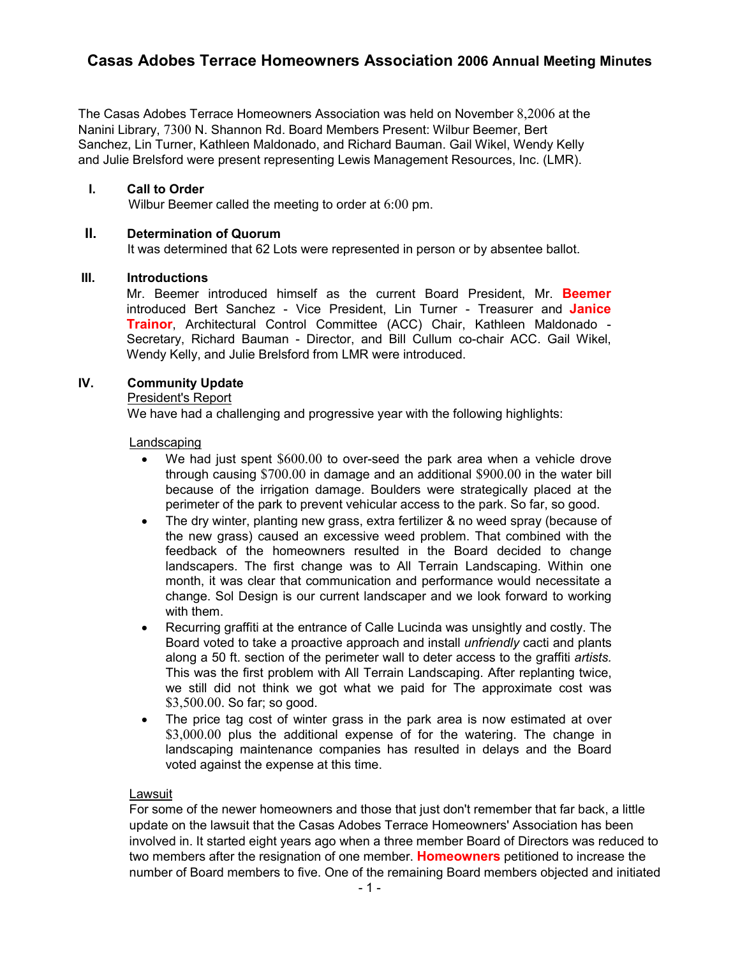# **Casas Adobes Terrace Homeowners Association 2006 Annual Meeting Minutes**

The Casas Adobes Terrace Homeowners Association was held on November 8,2006 at the Nanini Library, 7300 N. Shannon Rd. Board Members Present: Wilbur Beemer, Bert Sanchez, Lin Turner, Kathleen Maldonado, and Richard Bauman. Gail Wikel, Wendy Kelly and Julie Brelsford were present representing Lewis Management Resources, Inc. (LMR).

# **I. Call to Order**

Wilbur Beemer called the meeting to order at 6:00 pm.

## **II. Determination of Quorum**

It was determined that 62 Lots were represented in person or by absentee ballot.

# **III. Introductions**

Mr. Beemer introduced himself as the current Board President, Mr. **Beemer** introduced Bert Sanchez - Vice President, Lin Turner - Treasurer and **Janice Trainor**, Architectural Control Committee (ACC) Chair, Kathleen Maldonado - Secretary, Richard Bauman - Director, and Bill Cullum co-chair ACC. Gail Wikel, Wendy Kelly, and Julie Brelsford from LMR were introduced.

# **IV. Community Update**

# President's Report

We have had a challenging and progressive year with the following highlights:

# Landscaping

- We had just spent \$600.00 to over-seed the park area when a vehicle drove through causing \$700.00 in damage and an additional \$900.00 in the water bill because of the irrigation damage. Boulders were strategically placed at the perimeter of the park to prevent vehicular access to the park. So far, so good.
- The dry winter, planting new grass, extra fertilizer & no weed spray (because of the new grass) caused an excessive weed problem. That combined with the feedback of the homeowners resulted in the Board decided to change landscapers. The first change was to All Terrain Landscaping. Within one month, it was clear that communication and performance would necessitate a change. Sol Design is our current landscaper and we look forward to working with them.
- Recurring graffiti at the entrance of Calle Lucinda was unsightly and costly. The Board voted to take a proactive approach and install *unfriendly* cacti and plants along a 50 ft. section of the perimeter wall to deter access to the graffiti *artists.*  This was the first problem with All Terrain Landscaping. After replanting twice, we still did not think we got what we paid for The approximate cost was \$3,500.00. So far; so good.
- The price tag cost of winter grass in the park area is now estimated at over \$3,000.00 plus the additional expense of for the watering. The change in landscaping maintenance companies has resulted in delays and the Board voted against the expense at this time.

#### Lawsuit

For some of the newer homeowners and those that just don't remember that far back, a little update on the lawsuit that the Casas Adobes Terrace Homeowners' Association has been involved in. It started eight years ago when a three member Board of Directors was reduced to two members after the resignation of one member. **Homeowners** petitioned to increase the number of Board members to five. One of the remaining Board members objected and initiated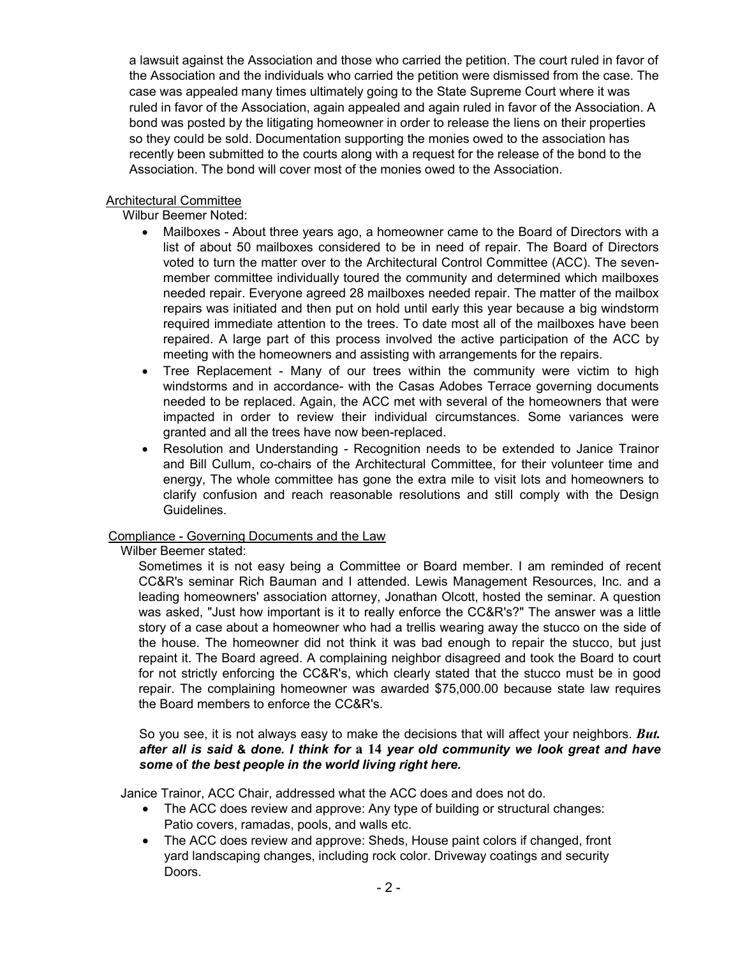a lawsuit against the Association and those who carried the petition. The court ruled in favor of the Association and the individuals who carried the petition were dismissed from the case. The case was appealed many times ultimately going to the State Supreme Court where it was ruled in favor of the Association, again appealed and again ruled in favor of the Association. A bond was posted by the litigating homeowner in order to release the liens on their properties so they could be sold. Documentation supporting the monies owed to the association has recently been submitted to the courts along with a request for the release of the bond to the Association. The bond will cover most of the monies owed to the Association.

# Architectural Committee

Wilbur Beemer Noted:

- Mailboxes About three years ago, a homeowner came to the Board of Directors with a list of about 50 mailboxes considered to be in need of repair. The Board of Directors voted to turn the matter over to the Architectural Control Committee (ACC). The sevenmember committee individually toured the community and determined which mailboxes needed repair. Everyone agreed 28 mailboxes needed repair. The matter of the mailbox repairs was initiated and then put on hold until early this year because a big windstorm required immediate attention to the trees. To date most all of the mailboxes have been repaired. A large part of this process involved the active participation of the ACC by meeting with the homeowners and assisting with arrangements for the repairs.
- Tree Replacement Many of our trees within the community were victim to high windstorms and in accordance- with the Casas Adobes Terrace governing documents needed to be replaced. Again, the ACC met with several of the homeowners that were impacted in order to review their individual circumstances. Some variances were granted and all the trees have now been-replaced.
- Resolution and Understanding Recognition needs to be extended to Janice Trainor and Bill Cullum, co-chairs of the Architectural Committee, for their volunteer time and energy, The whole committee has gone the extra mile to visit lots and homeowners to clarify confusion and reach reasonable resolutions and still comply with the Design Guidelines.

# Compliance - Governing Documents and the Law

Wilber Beemer stated:

Sometimes it is not easy being a Committee or Board member. I am reminded of recent CC&R's seminar Rich Bauman and I attended. Lewis Management Resources, Inc. and a leading homeowners' association attorney, Jonathan Olcott, hosted the seminar. A question was asked, "Just how important is it to really enforce the CC&R's?" The answer was a little story of a case about a homeowner who had a trellis wearing away the stucco on the side of the house. The homeowner did not think it was bad enough to repair the stucco, but just repaint it. The Board agreed. A complaining neighbor disagreed and took the Board to court for not strictly enforcing the CC&R's, which clearly stated that the stucco must be in good repair. The complaining homeowner was awarded \$75,000.00 because state law requires the Board members to enforce the CC&R's.

So you see, it is not always easy to make the decisions that will affect your neighbors. *But. after all is said* **&** *done. I think for* **a 14** *year old community we look great and have some* **of** *the best people in the world living right here.* 

Janice Trainor, ACC Chair, addressed what the ACC does and does not do.

- The ACC does review and approve: Any type of building or structural changes: Patio covers, ramadas, pools, and walls etc.
- The ACC does review and approve: Sheds, House paint colors if changed, front yard landscaping changes, including rock color. Driveway coatings and security Doors.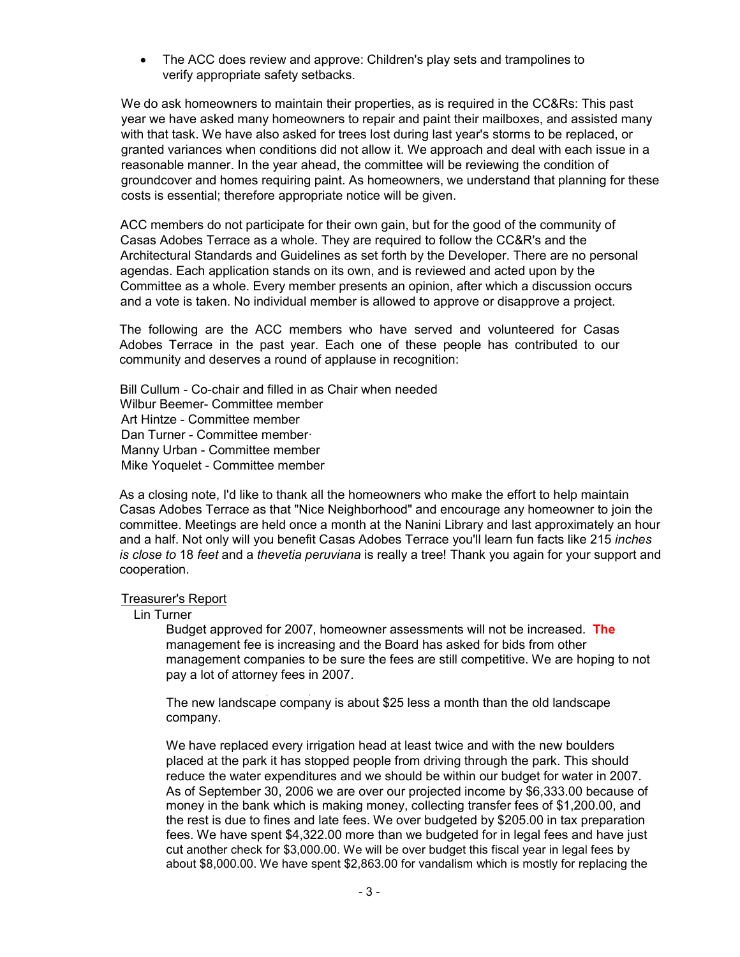• The ACC does review and approve: Children's play sets and trampolines to verify appropriate safety setbacks.

We do ask homeowners to maintain their properties, as is required in the CC&Rs: This past year we have asked many homeowners to repair and paint their mailboxes, and assisted many with that task. We have also asked for trees lost during last year's storms to be replaced, or granted variances when conditions did not allow it. We approach and deal with each issue in a reasonable manner. In the year ahead, the committee will be reviewing the condition of groundcover and homes requiring paint. As homeowners, we understand that planning for these costs is essential; therefore appropriate notice will be given.

ACC members do not participate for their own gain, but for the good of the community of Casas Adobes Terrace as a whole. They are required to follow the CC&R's and the Architectural Standards and Guidelines as set forth by the Developer. There are no personal agendas. Each application stands on its own, and is reviewed and acted upon by the Committee as a whole. Every member presents an opinion, after which a discussion occurs and a vote is taken. No individual member is allowed to approve or disapprove a project.

The following are the ACC members who have served and volunteered for Casas Adobes Terrace in the past year. Each one of these people has contributed to our community and deserves a round of applause in recognition:

Bill Cullum - Co-chair and filled in as Chair when needed Wilbur Beemer- Committee member Art Hintze - Committee member Dan Turner - Committee member· Manny Urban - Committee member Mike Yoquelet - Committee member

As a closing note, I'd like to thank all the homeowners who make the effort to help maintain Casas Adobes Terrace as that "Nice Neighborhood" and encourage any homeowner to join the committee. Meetings are held once a month at the Nanini Library and last approximately an hour and a half. Not only will you benefit Casas Adobes Terrace you'll learn fun facts like 215 *inches is close to* 18 *feet* and a *thevetia peruviana* is really a tree! Thank you again for your support and cooperation.

#### Treasurer's Report

Lin Turner

Budget approved for 2007, homeowner assessments will not be increased. **The** management fee is increasing and the Board has asked for bids from other management companies to be sure the fees are still competitive. We are hoping to not pay a lot of attorney fees in 2007.

. . The new landscape company is about \$25 less a month than the old landscape company.

We have replaced every irrigation head at least twice and with the new boulders placed at the park it has stopped people from driving through the park. This should reduce the water expenditures and we should be within our budget for water in 2007. As of September 30, 2006 we are over our projected income by \$6,333.00 because of money in the bank which is making money, collecting transfer fees of \$1,200.00, and the rest is due to fines and late fees. We over budgeted by \$205.00 in tax preparation fees. We have spent \$4,322.00 more than we budgeted for in legal fees and have just cut another check for \$3,000.00. We will be over budget this fiscal year in legal fees by about \$8,000.00. We have spent \$2,863.00 for vandalism which is mostly for replacing the